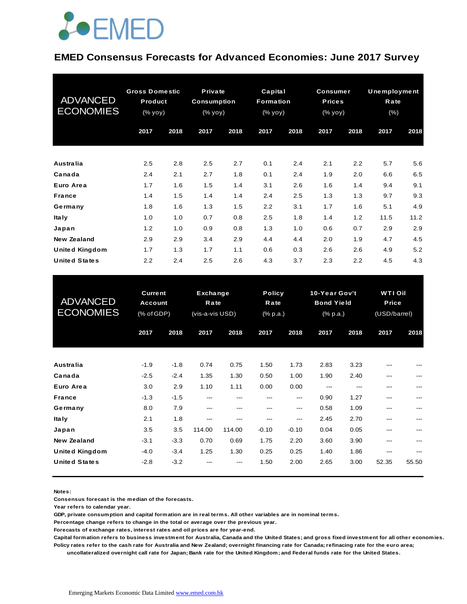

#### **EMED Consensus Forecasts for Advanced Economies: June 2017 Survey**

| <b>ADVANCED</b><br><b>ECONOMIES</b> | <b>Gross Domestic</b><br>Product<br>(% yoy) |      | Private<br><b>Consumption</b><br>$(\%$ yoy) |      | Capital<br><b>Formation</b><br>(% yoy) |      | <b>Consumer</b><br><b>Prices</b><br>$(% \mathsf{y}\right)$ (% $\overline{\mathsf{y}}$ oy) |      | Unemployment<br>Rate<br>(% ) |      |
|-------------------------------------|---------------------------------------------|------|---------------------------------------------|------|----------------------------------------|------|-------------------------------------------------------------------------------------------|------|------------------------------|------|
|                                     | 2017                                        | 2018 | 2017                                        | 2018 | 2017                                   | 2018 | 2017                                                                                      | 2018 | 2017                         | 2018 |
| <b>Australia</b>                    | 2.5                                         | 2.8  | 2.5                                         | 2.7  | 0.1                                    | 2.4  | 2.1                                                                                       | 2.2  | 5.7                          | 5.6  |
| Canada                              | 2.4                                         | 2.1  | 2.7                                         | 1.8  | 0.1                                    | 2.4  | 1.9                                                                                       | 2.0  | 6.6                          | 6.5  |
| Euro Area                           | 1.7                                         | 1.6  | 1.5                                         | 1.4  | 3.1                                    | 2.6  | 1.6                                                                                       | 1.4  | 9.4                          | 9.1  |
| <b>France</b>                       | 1.4                                         | 1.5  | 1.4                                         | 1.4  | 2.4                                    | 2.5  | 1.3                                                                                       | 1.3  | 9.7                          | 9.3  |
| Germany                             | 1.8                                         | 1.6  | 1.3                                         | 1.5  | 2.2                                    | 3.1  | 1.7                                                                                       | 1.6  | 5.1                          | 4.9  |
| <b>Italy</b>                        | 1.0                                         | 1.0  | 0.7                                         | 0.8  | 2.5                                    | 1.8  | 1.4                                                                                       | 1.2  | 11.5                         | 11.2 |
| Japan                               | 1.2                                         | 1.0  | 0.9                                         | 0.8  | 1.3                                    | 1.0  | 0.6                                                                                       | 0.7  | 2.9                          | 2.9  |
| <b>New Zealand</b>                  | 2.9                                         | 2.9  | 3.4                                         | 2.9  | 4.4                                    | 4.4  | 2.0                                                                                       | 1.9  | 4.7                          | 4.5  |
| <b>United Kingdom</b>               | 1.7                                         | 1.3  | 1.7                                         | 1.1  | 0.6                                    | 0.3  | 2.6                                                                                       | 2.6  | 4.9                          | 5.2  |
| <b>United States</b>                | 2.2                                         | 2.4  | 2.5                                         | 2.6  | 4.3                                    | 3.7  | 2.3                                                                                       | 2.2  | 4.5                          | 4.3  |

| .                                           |                                                |                  |                                     |               |                                   |                |                                                                   |              |                                                |       |
|---------------------------------------------|------------------------------------------------|------------------|-------------------------------------|---------------|-----------------------------------|----------------|-------------------------------------------------------------------|--------------|------------------------------------------------|-------|
| <b>United States</b>                        | 2.2                                            | 2.4              | 2.5                                 | 2.6           | 4.3                               | 3.7            | 2.3                                                               | 2.2          | 4.5                                            | 4.3   |
| <b>ADVANCED</b><br><b>ECONOMIES</b>         | <b>Current</b><br><b>Account</b><br>(% of GDP) |                  | Exchange<br>Rate<br>(vis-a-vis USD) |               | <b>Policy</b><br>Rate<br>(% p.a.) |                | 10-Year Gov't<br><b>Bond Yield</b><br>$(% \mathbb{R}^2)$ (% p.a.) |              | <b>WTI Oil</b><br><b>Price</b><br>(USD/barrel) |       |
|                                             | 2017                                           | 2018             | 2017                                | 2018          | 2017                              | 2018           | 2017                                                              | 2018         | 2017                                           | 2018  |
| <b>Australia</b>                            | $-1.9$                                         | $-1.8$           | 0.74                                | 0.75          | 1.50                              | 1.73           | 2.83                                                              | 3.23         |                                                |       |
| Canada<br>Euro Area                         | $-2.5$<br>3.0                                  | $-2.4$<br>2.9    | 1.35<br>1.10                        | 1.30<br>1.11  | 0.50<br>0.00                      | 1.00<br>0.00   | 1.90                                                              | 2.40         | ---                                            | ---   |
| <b>France</b><br>Germany                    | $-1.3$<br>8.0                                  | $-1.5$<br>7.9    | ---<br>---                          | ---           | ---                               | ---<br>---     | 0.90<br>0.58                                                      | 1.27<br>1.09 | ---<br>---                                     |       |
| <b>Italy</b><br>Japan                       | 2.1<br>3.5                                     | 1.8<br>3.5       | ---<br>114.00                       | ---<br>114.00 | ---<br>$-0.10$                    | ---<br>$-0.10$ | 2.45<br>0.04                                                      | 2.70<br>0.05 | ---<br>---                                     |       |
| <b>New Zealand</b><br><b>United Kingdom</b> | $-3.1$<br>$-4.0$                               | $-3.3$<br>$-3.4$ | 0.70<br>1.25                        | 0.69<br>1.30  | 1.75<br>0.25                      | 2.20<br>0.25   | 3.60<br>1.40                                                      | 3.90<br>1.86 | ---<br>---                                     |       |
| <b>United States</b>                        | $-2.8$                                         | $-3.2$           |                                     |               | 1.50                              | 2.00           | 2.65                                                              | 3.00         | 52.35                                          | 55.50 |

**Notes:** 

**Consensus forecast is the median of the forecasts.**

**Year refers to calendar year.**

**GDP, private consumption and capital formation are in real terms. All other variables are in nominal terms.**

**Percentage change refers to change in the total or average over the previous year.**

**Forecasts of exchange rates, interest rates and oil prices are for year-end.**

**Capital formation refers to business investment for Australia, Canada and the United States; and gross fixed investment for all other economies. Policy rates refer to the cash rate for Australia and New Zealand; overnight financing rate for Canada; refinacing rate for the euro area;** 

 **uncollateralized overnight call rate for Japan; Bank rate for the United Kingdom; and Federal funds rate for the United States.**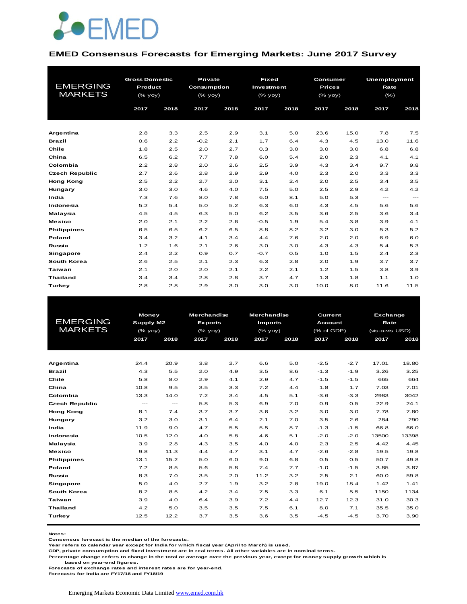

#### **EMED Consensus Forecasts for Emerging Markets: June 2017 Survey**

| <b>EMERGING</b><br><b>MARKETS</b> | <b>Gross Domestic</b><br>Product<br>$(%$ (% yoy) |      | Private<br><b>Consumption</b><br>$(\%$ yoy) |      | <b>Fixed</b><br>Investment<br>$(%$ (% yoy) |      | Consumer<br><b>Prices</b><br>$(\%$ yoy) |      | <b>Unemployment</b><br>Rate<br>(% ) |       |  |
|-----------------------------------|--------------------------------------------------|------|---------------------------------------------|------|--------------------------------------------|------|-----------------------------------------|------|-------------------------------------|-------|--|
|                                   | 2017                                             | 2018 | 2017                                        | 2018 | 2017                                       | 2018 | 2017                                    | 2018 | 2017                                | 2018  |  |
| Argentina                         | 2.8                                              | 3.3  | 2.5                                         | 2.9  | 3.1                                        | 5.0  | 23.6                                    | 15.0 | 7.8                                 | 7.5   |  |
| <b>Brazil</b>                     | 0.6                                              | 2.2  | $-0.2$                                      | 2.1  | 1.7                                        | 6.4  | 4.3                                     | 4.5  | 13.0                                | 11.6  |  |
| Chile                             | 1.8                                              | 2.5  | 2.0                                         | 2.7  | 0.3                                        | 3.0  | 3.0                                     | 3.0  | 6.8                                 | 6.8   |  |
| China                             | 6.5                                              | 6.2  | 7.7                                         | 7.8  | 6.0                                        | 5.4  | 2.0                                     | 2.3  | 4.1                                 | 4.1   |  |
| Colombia                          | 2.2                                              | 2.8  | 2.0                                         | 2.6  | 2.5                                        | 3.9  | 4.3                                     | 3.4  | 9.7                                 | 9.8   |  |
| <b>Czech Republic</b>             | 2.7                                              | 2.6  | 2.8                                         | 2.9  | 2.9                                        | 4.0  | 2.3                                     | 2.0  | 3.3                                 | 3.3   |  |
| <b>Hong Kong</b>                  | 2.5                                              | 2.2  | 2.7                                         | 2.0  | 3.1                                        | 2.4  | 2.0                                     | 2.5  | 3.4                                 | 3.5   |  |
| Hungary                           | 3.0                                              | 3.0  | 4.6                                         | 4.0  | 7.5                                        | 5.0  | 2.5                                     | 2.9  | 4.2                                 | 4.2   |  |
| India                             | 7.3                                              | 7.6  | 8.0                                         | 7.8  | 6.0                                        | 8.1  | 5.0                                     | 5.3  | $\qquad \qquad -$                   | $---$ |  |
| Indonesia                         | 5.2                                              | 5.4  | 5.0                                         | 5.2  | 6.3                                        | 6.0  | 4.3                                     | 4.5  | 5.6                                 | 5.6   |  |
| Malaysia                          | 4.5                                              | 4.5  | 6.3                                         | 5.0  | 6.2                                        | 3.5  | 3.6                                     | 2.5  | 3.6                                 | 3.4   |  |
| <b>Mexico</b>                     | 2.0                                              | 2.1  | 2.2                                         | 2.6  | $-0.5$                                     | 1.9  | 5.4                                     | 3.8  | 3.9                                 | 4.1   |  |
| <b>Philippines</b>                | 6.5                                              | 6.5  | 6.2                                         | 6.5  | 8.8                                        | 8.2  | 3.2                                     | 3.0  | 5.3                                 | 5.2   |  |
| Poland                            | 3.4                                              | 3.2  | 4.1                                         | 3.4  | 4.4                                        | 7.6  | 2.0                                     | 2.0  | 6.9                                 | 6.0   |  |
| Russia                            | 1.2                                              | 1.6  | 2.1                                         | 2.6  | 3.0                                        | 3.0  | 4.3                                     | 4.3  | 5.4                                 | 5.3   |  |
| Singapore                         | 2.4                                              | 2.2  | 0.9                                         | 0.7  | $-0.7$                                     | 0.5  | 1.0                                     | 1.5  | 2.4                                 | 2.3   |  |
| <b>South Korea</b>                | 2.6                                              | 2.5  | 2.1                                         | 2.3  | 6.3                                        | 2.8  | 2.0                                     | 1.9  | 3.7                                 | 3.7   |  |
| Taiwan                            | 2.1                                              | 2.0  | 2.0                                         | 2.1  | 2.2                                        | 2.1  | 1.2                                     | 1.5  | 3.8                                 | 3.9   |  |
| <b>Thailand</b>                   | 3.4                                              | 3.4  | 2.8                                         | 2.8  | 3.7                                        | 4.7  | 1.3                                     | 1.8  | 1.1                                 | 1.0   |  |
| Turkey                            | 2.8                                              | 2.8  | 2.9                                         | 3.0  | 3.0                                        | 3.0  | 10.0                                    | 8.0  | 11.6                                | 11.5  |  |

| <b>EMERGING</b><br><b>MARKETS</b> | 2017  | <b>Money</b><br>Supply M2<br>$(%$ (% yoy)<br>2018 |     | <b>Merchandise</b><br><b>Exports</b><br>$(%$ (% yoy)<br>2017<br>2018 |      | <b>Merchandise</b><br><b>Imports</b><br>$(\%$ yoy)<br>2017<br>2018 |        | <b>Current</b><br><b>Account</b><br>$(%$ of GDP)<br>2017<br>2018 |       | <b>Exchange</b><br>Rate<br>(vis-a-vis USD)<br>2017<br>2018 |  |
|-----------------------------------|-------|---------------------------------------------------|-----|----------------------------------------------------------------------|------|--------------------------------------------------------------------|--------|------------------------------------------------------------------|-------|------------------------------------------------------------|--|
|                                   |       |                                                   |     |                                                                      |      |                                                                    |        |                                                                  |       |                                                            |  |
| Argentina                         | 24.4  | 20.9                                              | 3.8 | 2.7                                                                  | 6.6  | 5.0                                                                | $-2.5$ | $-2.7$                                                           | 17.01 | 18.80                                                      |  |
| <b>Brazil</b>                     | 4.3   | 5.5                                               | 2.0 | 4.9                                                                  | 3.5  | 8.6                                                                | $-1.3$ | $-1.9$                                                           | 3.26  | 3.25                                                       |  |
| Chile                             | 5.8   | 8.0                                               | 2.9 | 4.1                                                                  | 2.9  | 4.7                                                                | $-1.5$ | $-1.5$                                                           | 665   | 664                                                        |  |
| China                             | 10.8  | 9.5                                               | 3.5 | 3.3                                                                  | 7.2  | 4.4                                                                | 1.8    | 1.7                                                              | 7.03  | 7.01                                                       |  |
| Colombia                          | 13.3  | 14.0                                              | 7.2 | 3.4                                                                  | 4.5  | 5.1                                                                | $-3.6$ | $-3.3$                                                           | 2983  | 3042                                                       |  |
| <b>Czech Republic</b>             | $---$ | $---$                                             | 5.8 | 5.3                                                                  | 6.9  | 7.0                                                                | 0.9    | 0.5                                                              | 22.9  | 24.1                                                       |  |
| <b>Hong Kong</b>                  | 8.1   | 7.4                                               | 3.7 | 3.7                                                                  | 3.6  | 3.2                                                                | 3.0    | 3.0                                                              | 7.78  | 7.80                                                       |  |
| Hungary                           | 3.2   | 3.0                                               | 3.1 | 6.4                                                                  | 2.1  | 7.0                                                                | 3.5    | 2.6                                                              | 284   | 290                                                        |  |
| India                             | 11.9  | 9.0                                               | 4.7 | 5.5                                                                  | 5.5  | 8.7                                                                | $-1.3$ | $-1.5$                                                           | 66.8  | 66.0                                                       |  |
| Indonesia                         | 10.5  | 12.0                                              | 4.0 | 5.8                                                                  | 4.6  | 5.1                                                                | $-2.0$ | $-2.0$                                                           | 13500 | 13398                                                      |  |
| Malaysia                          | 3.9   | 2.8                                               | 4.3 | 3.5                                                                  | 4.0  | 4.0                                                                | 2.3    | 2.5                                                              | 4.42  | 4.45                                                       |  |
| <b>Mexico</b>                     | 9.8   | 11.3                                              | 4.4 | 4.7                                                                  | 3.1  | 4.7                                                                | $-2.6$ | $-2.8$                                                           | 19.5  | 19.8                                                       |  |
| <b>Philippines</b>                | 13.1  | 15.2                                              | 5.0 | 6.0                                                                  | 9.0  | 6.8                                                                | 0.5    | 0.5                                                              | 50.7  | 49.8                                                       |  |
| Poland                            | 7.2   | 8.5                                               | 5.6 | 5.8                                                                  | 7.4  | 7.7                                                                | $-1.0$ | $-1.5$                                                           | 3.85  | 3.87                                                       |  |
| Russia                            | 8.3   | 7.0                                               | 3.5 | 2.0                                                                  | 11.2 | 3.2                                                                | 2.5    | 2.1                                                              | 60.0  | 59.8                                                       |  |
| Singapore                         | 5.0   | 4.0                                               | 2.7 | 1.9                                                                  | 3.2  | 2.8                                                                | 19.0   | 18.4                                                             | 1.42  | 1.41                                                       |  |
| South Korea                       | 8.2   | 8.5                                               | 4.2 | 3.4                                                                  | 7.5  | 3.3                                                                | 6.1    | 5.5                                                              | 1150  | 1134                                                       |  |
| <b>Taiwan</b>                     | 3.9   | 4.0                                               | 6.4 | 3.9                                                                  | 7.2  | 4.4                                                                | 12.7   | 12.3                                                             | 31.0  | 30.3                                                       |  |
| <b>Thailand</b>                   | 4.2   | 5.0                                               | 3.5 | 3.5                                                                  | 7.5  | 6.1                                                                | 8.0    | 7.1                                                              | 35.5  | 35.0                                                       |  |
| Turkey                            | 12.5  | 12.2                                              | 3.7 | 3.5                                                                  | 3.6  | 3.5                                                                | $-4.5$ | $-4.5$                                                           | 3.70  | 3.90                                                       |  |
|                                   |       |                                                   |     |                                                                      |      |                                                                    |        |                                                                  |       |                                                            |  |

**Notes:** 

**Consensus forecast is the median of the forecasts.**

**Year refers to calendar year except for India for which fiscal year (April to March) is used.**

**GDP, private consumption and fixed investment are in real terms. All other variables are in nominal terms.**

**Percentage change refers to change in the total or average over the previous year, except for money supply growth which is based on year-end figures.**

**Forecasts of exchange rates and interest rates are for year-end.**

**Forecasts for India are FY17/18 and FY18/19**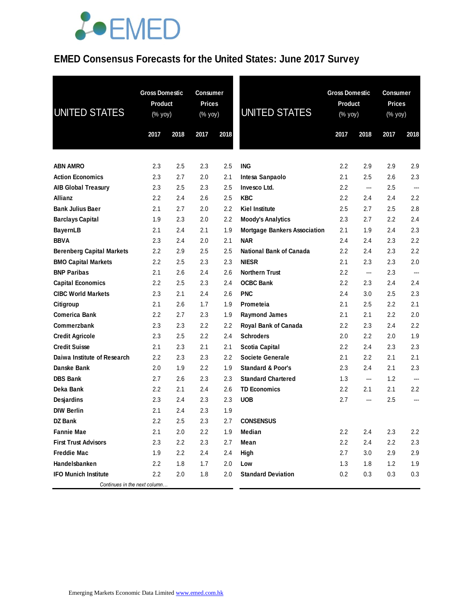### **EMED Consensus Forecasts for the United States: June 2017 Survey**

| UNITED STATES                    | <b>Gross Domestic</b><br><b>Product</b><br>(% yoy) |      | <b>Consumer</b><br>Prices<br>(% yoy) |      | <b>UNITED STATES</b>                |         | <b>Gross Domestic</b><br><b>Product</b><br>$(% \mathsf{Y}^{\prime }\mathsf{Y}^{\prime }\mathsf{Y}^{\prime })$ |         | Consumer<br><b>Prices</b><br>(% yoy) |  |
|----------------------------------|----------------------------------------------------|------|--------------------------------------|------|-------------------------------------|---------|---------------------------------------------------------------------------------------------------------------|---------|--------------------------------------|--|
|                                  | 2017                                               | 2018 | 2017                                 | 2018 |                                     | 2017    | 2018                                                                                                          | 2017    | 2018                                 |  |
| <b>ABN AMRO</b>                  | 2.3                                                | 2.5  | 2.3                                  | 2.5  | <b>ING</b>                          | $2.2\,$ | 2.9                                                                                                           | 2.9     | 2.9                                  |  |
| <b>Action Economics</b>          | 2.3                                                | 2.7  | 2.0                                  | 2.1  | Intesa Sanpaolo                     | 2.1     | 2.5                                                                                                           | 2.6     | 2.3                                  |  |
| <b>AIB Global Treasury</b>       | 2.3                                                | 2.5  | 2.3                                  | 2.5  | Invesco Ltd.                        | $2.2\,$ | ---                                                                                                           | 2.5     | ---                                  |  |
| <b>Allianz</b>                   | 2.2                                                | 2.4  | 2.6                                  | 2.5  | <b>KBC</b>                          | $2.2\,$ | 2.4                                                                                                           | 2.4     | 2.2                                  |  |
| <b>Bank Julius Baer</b>          | 2.1                                                | 2.7  | 2.0                                  | 2.2  | <b>Kiel Institute</b>               | 2.5     | 2.7                                                                                                           | $2.5\,$ | 2.8                                  |  |
| <b>Barclays Capital</b>          | 1.9                                                | 2.3  | 2.0                                  | 2.2  | <b>Moody's Analytics</b>            | 2.3     | 2.7                                                                                                           | $2.2\,$ | 2.4                                  |  |
| <b>BayernLB</b>                  | 2.1                                                | 2.4  | 2.1                                  | 1.9  | <b>Mortgage Bankers Association</b> | 2.1     | 1.9                                                                                                           | 2.4     | 2.3                                  |  |
| <b>BBVA</b>                      | 2.3                                                | 2.4  | 2.0                                  | 2.1  | <b>NAR</b>                          | 2.4     | 2.4                                                                                                           | 2.3     | 2.2                                  |  |
| <b>Berenberg Capital Markets</b> | 2.2                                                | 2.9  | 2.5                                  | 2.5  | <b>National Bank of Canada</b>      | 2.2     | 2.4                                                                                                           | 2.3     | 2.2                                  |  |
| <b>BMO Capital Markets</b>       | 2.2                                                | 2.5  | 2.3                                  | 2.3  | <b>NIESR</b>                        | 2.1     | 2.3                                                                                                           | 2.3     | 2.0                                  |  |
| <b>BNP Paribas</b>               | 2.1                                                | 2.6  | 2.4                                  | 2.6  | <b>Northern Trust</b>               | $2.2\,$ | ---                                                                                                           | 2.3     | ---                                  |  |
| <b>Capital Economics</b>         | 2.2                                                | 2.5  | 2.3                                  | 2.4  | <b>OCBC Bank</b>                    | $2.2\,$ | 2.3                                                                                                           | 2.4     | 2.4                                  |  |
| <b>CIBC World Markets</b>        | 2.3                                                | 2.1  | 2.4                                  | 2.6  | <b>PNC</b>                          | 2.4     | 3.0                                                                                                           | 2.5     | 2.3                                  |  |
| Citigroup                        | 2.1                                                | 2.6  | 1.7                                  | 1.9  | Prometeia                           | 2.1     | 2.5                                                                                                           | 2.2     | 2.1                                  |  |
| <b>Comerica Bank</b>             | 2.2                                                | 2.7  | 2.3                                  | 1.9  | <b>Raymond James</b>                | 2.1     | 2.1                                                                                                           | 2.2     | 2.0                                  |  |
| <b>Commerzbank</b>               | 2.3                                                | 2.3  | 2.2                                  | 2.2  | Royal Bank of Canada                | $2.2\,$ | 2.3                                                                                                           | 2.4     | 2.2                                  |  |
| <b>Credit Agricole</b>           | 2.3                                                | 2.5  | 2.2                                  | 2.4  | <b>Schroders</b>                    | 2.0     | $2.2\phantom{0}$                                                                                              | 2.0     | 1.9                                  |  |
| <b>Credit Suisse</b>             | 2.1                                                | 2.3  | 2.1                                  | 2.1  | <b>Scotia Capital</b>               | $2.2\,$ | 2.4                                                                                                           | 2.3     | 2.3                                  |  |
| Daiwa Institute of Research      | 2.2                                                | 2.3  | 2.3                                  | 2.2  | Societe Generale                    | 2.1     | $2.2\phantom{0}$                                                                                              | 2.1     | 2.1                                  |  |
| Danske Bank                      | 2.0                                                | 1.9  | $2.2\phantom{0}$                     | 1.9  | <b>Standard &amp; Poor's</b>        | 2.3     | 2.4                                                                                                           | 2.1     | 2.3                                  |  |
| <b>DBS Bank</b>                  | 2.7                                                | 2.6  | 2.3                                  | 2.3  | <b>Standard Chartered</b>           | 1.3     | ---                                                                                                           | 1.2     | ---                                  |  |
| Deka Bank                        | 2.2                                                | 2.1  | 2.4                                  | 2.6  | <b>TD Economics</b>                 | $2.2\,$ | 2.1                                                                                                           | 2.1     | 2.2                                  |  |
| <b>Desjardins</b>                | 2.3                                                | 2.4  | 2.3                                  | 2.3  | <b>UOB</b>                          | 2.7     | ---                                                                                                           | 2.5     | ---                                  |  |
| <b>DIW Berlin</b>                | 2.1                                                | 2.4  | 2.3                                  | 1.9  |                                     |         |                                                                                                               |         |                                      |  |
| <b>DZ Bank</b>                   | 2.2                                                | 2.5  | 2.3                                  | 2.7  | <b>CONSENSUS</b>                    |         |                                                                                                               |         |                                      |  |
| <b>Fannie Mae</b>                | 2.1                                                | 2.0  | 2.2                                  | 1.9  | Median                              | 2.2     | 2.4                                                                                                           | 2.3     | 2.2                                  |  |
| <b>First Trust Advisors</b>      | 2.3                                                | 2.2  | 2.3                                  | 2.7  | Mean                                | 2.2     | 2.4                                                                                                           | 2.2     | 2.3                                  |  |
| <b>Freddie Mac</b>               | 1.9                                                | 2.2  | 2.4                                  | 2.4  | High                                | 2.7     | 3.0                                                                                                           | 2.9     | 2.9                                  |  |
| Handelsbanken                    | 2.2                                                | 1.8  | 1.7                                  | 2.0  | Low                                 | 1.3     | 1.8                                                                                                           | 1.2     | 1.9                                  |  |
| <b>IFO Munich Institute</b>      | 2.2                                                | 2.0  | 1.8                                  | 2.0  | <b>Standard Deviation</b>           | 0.2     | 0.3                                                                                                           | 0.3     | 0.3                                  |  |
| Continues in the next column     |                                                    |      |                                      |      |                                     |         |                                                                                                               |         |                                      |  |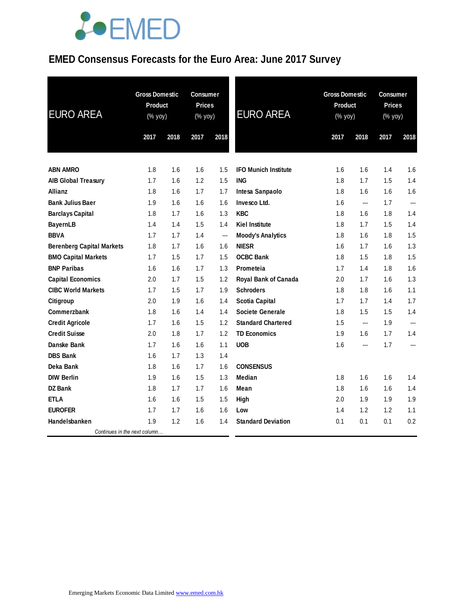### **EMED Consensus Forecasts for the Euro Area: June 2017 Survey**

| <b>EURO AREA</b>                 | <b>Gross Domestic</b><br>Product<br>$(% \mathsf{Y}^{\prime }\mathsf{Y}^{\prime })$ (% $\mathsf{Y}^{\prime }\mathsf{Y}^{\prime }\mathsf{Y}^{\prime })$ |      | <b>Consumer</b><br><b>Prices</b><br>(% yoy) |      | <b>EURO AREA</b>            | <b>Gross Domestic</b><br>Product<br>(% yoy) |                | <b>Consumer</b><br><b>Prices</b><br>(% yoy) |                |
|----------------------------------|-------------------------------------------------------------------------------------------------------------------------------------------------------|------|---------------------------------------------|------|-----------------------------|---------------------------------------------|----------------|---------------------------------------------|----------------|
|                                  | 2017                                                                                                                                                  | 2018 | 2017                                        | 2018 |                             | 2017                                        | 2018           | 2017                                        | 2018           |
| <b>ABN AMRO</b>                  | 1.8                                                                                                                                                   | 1.6  | 1.6                                         | 1.5  | <b>IFO Munich Institute</b> | 1.6                                         | 1.6            | 1.4                                         | 1.6            |
| <b>AIB Global Treasury</b>       | 1.7                                                                                                                                                   | 1.6  | 1.2                                         | 1.5  | <b>ING</b>                  | 1.8                                         | 1.7            | 1.5                                         | 1.4            |
| Allianz                          | 1.8                                                                                                                                                   | 1.6  | 1.7                                         | 1.7  | Intesa Sanpaolo             | 1.8                                         | 1.6            | 1.6                                         | 1.6            |
| <b>Bank Julius Baer</b>          | 1.9                                                                                                                                                   | 1.6  | 1.6                                         | 1.6  | Invesco Ltd.                | 1.6                                         | ---            | 1.7                                         | $\overline{a}$ |
| <b>Barclays Capital</b>          | 1.8                                                                                                                                                   | 1.7  | 1.6                                         | 1.3  | <b>KBC</b>                  | 1.8                                         | 1.6            | 1.8                                         | 1.4            |
| <b>BayernLB</b>                  | 1.4                                                                                                                                                   | 1.4  | 1.5                                         | 1.4  | <b>Kiel Institute</b>       | 1.8                                         | 1.7            | 1.5                                         | 1.4            |
| <b>BBVA</b>                      | 1.7                                                                                                                                                   | 1.7  | 1.4                                         | ---  | <b>Moody's Analytics</b>    | 1.8                                         | 1.6            | 1.8                                         | 1.5            |
| <b>Berenberg Capital Markets</b> | 1.8                                                                                                                                                   | 1.7  | 1.6                                         | 1.6  | <b>NIESR</b>                | 1.6                                         | 1.7            | 1.6                                         | 1.3            |
| <b>BMO Capital Markets</b>       | 1.7                                                                                                                                                   | 1.5  | 1.7                                         | 1.5  | <b>OCBC Bank</b>            | 1.8                                         | 1.5            | 1.8                                         | 1.5            |
| <b>BNP Paribas</b>               | 1.6                                                                                                                                                   | 1.6  | 1.7                                         | 1.3  | Prometeia                   | 1.7                                         | 1.4            | 1.8                                         | 1.6            |
| <b>Capital Economics</b>         | 2.0                                                                                                                                                   | 1.7  | 1.5                                         | 1.2  | Royal Bank of Canada        | 2.0                                         | 1.7            | 1.6                                         | 1.3            |
| <b>CIBC World Markets</b>        | 1.7                                                                                                                                                   | 1.5  | 1.7                                         | 1.9  | <b>Schroders</b>            | 1.8                                         | 1.8            | 1.6                                         | 1.1            |
| Citigroup                        | 2.0                                                                                                                                                   | 1.9  | 1.6                                         | 1.4  | <b>Scotia Capital</b>       | 1.7                                         | 1.7            | 1.4                                         | 1.7            |
| <b>Commerzbank</b>               | 1.8                                                                                                                                                   | 1.6  | 1.4                                         | 1.4  | <b>Societe Generale</b>     | 1.8                                         | 1.5            | 1.5                                         | 1.4            |
| <b>Credit Agricole</b>           | 1.7                                                                                                                                                   | 1.6  | 1.5                                         | 1.2  | <b>Standard Chartered</b>   | 1.5                                         | $\overline{a}$ | 1.9                                         | $\overline{a}$ |
| <b>Credit Suisse</b>             | 2.0                                                                                                                                                   | 1.8  | 1.7                                         | 1.2  | <b>TD Economics</b>         | 1.9                                         | 1.6            | 1.7                                         | 1.4            |
| Danske Bank                      | 1.7                                                                                                                                                   | 1.6  | 1.6                                         | 1.1  | <b>UOB</b>                  | 1.6                                         | ---            | 1.7                                         | ---            |
| <b>DBS Bank</b>                  | 1.6                                                                                                                                                   | 1.7  | 1.3                                         | 1.4  |                             |                                             |                |                                             |                |
| Deka Bank                        | 1.8                                                                                                                                                   | 1.6  | 1.7                                         | 1.6  | <b>CONSENSUS</b>            |                                             |                |                                             |                |
| <b>DIW Berlin</b>                | 1.9                                                                                                                                                   | 1.6  | 1.5                                         | 1.3  | Median                      | 1.8                                         | 1.6            | 1.6                                         | 1.4            |
| DZ Bank                          | 1.8                                                                                                                                                   | 1.7  | 1.7                                         | 1.6  | Mean                        | 1.8                                         | 1.6            | 1.6                                         | 1.4            |
| <b>ETLA</b>                      | 1.6                                                                                                                                                   | 1.6  | 1.5                                         | 1.5  | High                        | 2.0                                         | 1.9            | 1.9                                         | 1.9            |
| <b>EUROFER</b>                   | 1.7                                                                                                                                                   | 1.7  | 1.6                                         | 1.6  | Low                         | 1.4                                         | 1.2            | 1.2                                         | 1.1            |
| Handelsbanken                    | 1.9                                                                                                                                                   | 1.2  | 1.6                                         | 1.4  | <b>Standard Deviation</b>   | 0.1                                         | 0.1            | 0.1                                         | 0.2            |
| Continues in the next column     |                                                                                                                                                       |      |                                             |      |                             |                                             |                |                                             |                |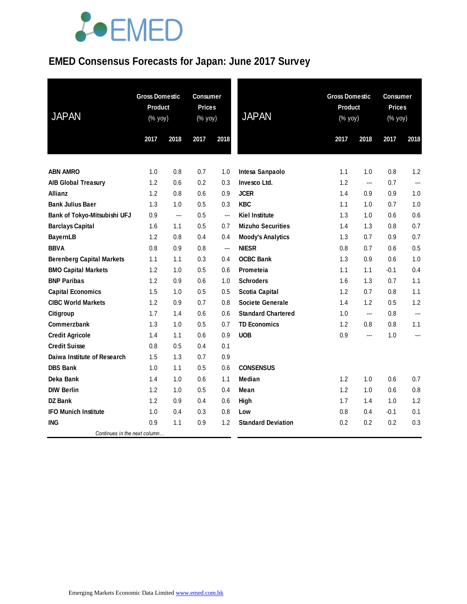### **EMED Consensus Forecasts for Japan: June 2017 Survey**

| <b>JAPAN</b>                     | <b>Gross Domestic</b><br>Product<br>(% yoy) |      | <b>Consumer</b><br><b>Prices</b><br>(% yoy) |      | <b>JAPAN</b>              |      | <b>Gross Domestic</b><br>Product<br>(% yoy) |        | <b>Consumer</b><br><b>Prices</b><br>(% yoy) |  |
|----------------------------------|---------------------------------------------|------|---------------------------------------------|------|---------------------------|------|---------------------------------------------|--------|---------------------------------------------|--|
|                                  | 2017                                        | 2018 | 2017                                        | 2018 |                           | 2017 | 2018                                        | 2017   | 2018                                        |  |
|                                  |                                             |      |                                             |      |                           |      |                                             |        |                                             |  |
| <b>ABN AMRO</b>                  | 1.0                                         | 0.8  | 0.7                                         | 1.0  | Intesa Sanpaolo           | 1.1  | 1.0                                         | 0.8    | 1.2                                         |  |
| <b>AIB Global Treasury</b>       | 1.2                                         | 0.6  | 0.2                                         | 0.3  | Invesco Ltd.              | 1.2  | $\overline{a}$                              | 0.7    | ---                                         |  |
| <b>Allianz</b>                   | 1.2                                         | 0.8  | 0.6                                         | 0.9  | <b>JCER</b>               | 1.4  | 0.9                                         | 0.9    | 1.0                                         |  |
| <b>Bank Julius Baer</b>          | 1.3                                         | 1.0  | 0.5                                         | 0.3  | <b>KBC</b>                | 1.1  | 1.0                                         | 0.7    | 1.0                                         |  |
| Bank of Tokyo-Mitsubishi UFJ     | 0.9                                         | ---  | 0.5                                         | ---  | <b>Kiel Institute</b>     | 1.3  | 1.0                                         | 0.6    | 0.6                                         |  |
| <b>Barclays Capital</b>          | 1.6                                         | 1.1  | 0.5                                         | 0.7  | <b>Mizuho Securities</b>  | 1.4  | 1.3                                         | 0.8    | 0.7                                         |  |
| <b>BayernLB</b>                  | 1.2                                         | 0.8  | 0.4                                         | 0.4  | <b>Moody's Analytics</b>  | 1.3  | 0.7                                         | 0.9    | 0.7                                         |  |
| <b>BBVA</b>                      | 0.8                                         | 0.9  | 0.8                                         | ---  | <b>NIESR</b>              | 0.8  | 0.7                                         | 0.6    | 0.5                                         |  |
| <b>Berenberg Capital Markets</b> | 1.1                                         | 1.1  | 0.3                                         | 0.4  | <b>OCBC Bank</b>          | 1.3  | 0.9                                         | 0.6    | 1.0                                         |  |
| <b>BMO Capital Markets</b>       | 1.2                                         | 1.0  | 0.5                                         | 0.6  | <b>Prometeia</b>          | 1.1  | 1.1                                         | $-0.1$ | 0.4                                         |  |
| <b>BNP Paribas</b>               | 1.2                                         | 0.9  | 0.6                                         | 1.0  | <b>Schroders</b>          | 1.6  | 1.3                                         | 0.7    | 1.1                                         |  |
| <b>Capital Economics</b>         | 1.5                                         | 1.0  | 0.5                                         | 0.5  | <b>Scotia Capital</b>     | 1.2  | 0.7                                         | 0.8    | 1.1                                         |  |
| <b>CIBC World Markets</b>        | 1.2                                         | 0.9  | 0.7                                         | 0.8  | <b>Societe Generale</b>   | 1.4  | 1.2                                         | 0.5    | 1.2                                         |  |
| Citigroup                        | 1.7                                         | 1.4  | 0.6                                         | 0.6  | <b>Standard Chartered</b> | 1.0  | $\overline{\phantom{a}}$                    | 0.8    | ---                                         |  |
| <b>Commerzbank</b>               | 1.3                                         | 1.0  | 0.5                                         | 0.7  | <b>TD Economics</b>       | 1.2  | 0.8                                         | 0.8    | 1.1                                         |  |
| <b>Credit Agricole</b>           | 1.4                                         | 1.1  | 0.6                                         | 0.9  | <b>UOB</b>                | 0.9  | $\overline{a}$                              | 1.0    | ---                                         |  |
| <b>Credit Suisse</b>             | 0.8                                         | 0.5  | 0.4                                         | 0.1  |                           |      |                                             |        |                                             |  |
| Daiwa Institute of Research      | 1.5                                         | 1.3  | 0.7                                         | 0.9  |                           |      |                                             |        |                                             |  |
| <b>DBS Bank</b>                  | 1.0                                         | 1.1  | 0.5                                         | 0.6  | <b>CONSENSUS</b>          |      |                                             |        |                                             |  |
| Deka Bank                        | 1.4                                         | 1.0  | 0.6                                         | 1.1  | Median                    | 1.2  | 1.0                                         | 0.6    | 0.7                                         |  |
| <b>DIW Berlin</b>                | 1.2                                         | 1.0  | 0.5                                         | 0.4  | Mean                      | 1.2  | 1.0                                         | 0.6    | 0.8                                         |  |
| <b>DZ</b> Bank                   | 1.2                                         | 0.9  | 0.4                                         | 0.6  | High                      | 1.7  | 1.4                                         | 1.0    | 1.2                                         |  |
| <b>IFO Munich Institute</b>      | 1.0                                         | 0.4  | 0.3                                         | 0.8  | Low                       | 0.8  | 0.4                                         | $-0.1$ | 0.1                                         |  |
| <b>ING</b>                       | 0.9                                         | 1.1  | 0.9                                         | 1.2  | <b>Standard Deviation</b> | 0.2  | 0.2                                         | 0.2    | 0.3                                         |  |
| Continues in the next column     |                                             |      |                                             |      |                           |      |                                             |        |                                             |  |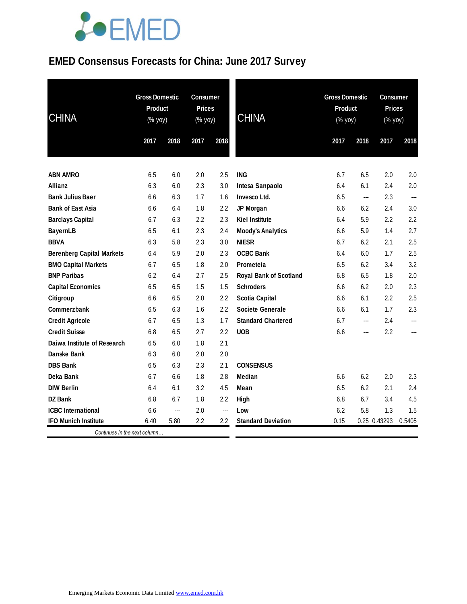### **EMED Consensus Forecasts for China: June 2017 Survey**

| <b>CHINA</b>                     | <b>Gross Domestic</b><br>Product<br>(% yoy) |      | <b>Consumer</b><br><b>Prices</b><br>(% yoy) |      | <b>CHINA</b>                  |      | <b>Gross Domestic</b><br><b>Product</b><br>(% yoy)<br>2017<br>2018 |              | <b>Consumer</b><br><b>Prices</b><br>$(% \mathsf{Y}^{\prime }\mathsf{Y}^{\prime })$ (% $\mathsf{Y}^{\prime }\mathsf{Y}^{\prime }\mathsf{Y}^{\prime })$ |  |
|----------------------------------|---------------------------------------------|------|---------------------------------------------|------|-------------------------------|------|--------------------------------------------------------------------|--------------|-------------------------------------------------------------------------------------------------------------------------------------------------------|--|
|                                  | 2017                                        | 2018 | 2017                                        | 2018 |                               |      |                                                                    | 2017         | 2018                                                                                                                                                  |  |
| <b>ABN AMRO</b>                  | 6.5                                         | 6.0  | 2.0                                         | 2.5  | <b>ING</b>                    | 6.7  | 6.5                                                                | 2.0          | 2.0                                                                                                                                                   |  |
| Allianz                          | 6.3                                         | 6.0  | 2.3                                         | 3.0  | Intesa Sanpaolo               | 6.4  | 6.1                                                                | 2.4          | 2.0                                                                                                                                                   |  |
| <b>Bank Julius Baer</b>          | 6.6                                         | 6.3  | 1.7                                         | 1.6  | Invesco Ltd.                  | 6.5  | ---                                                                | 2.3          | ---                                                                                                                                                   |  |
| <b>Bank of East Asia</b>         | 6.6                                         | 6.4  | 1.8                                         | 2.2  | JP Morgan                     | 6.6  | 6.2                                                                | 2.4          | 3.0                                                                                                                                                   |  |
| <b>Barclays Capital</b>          | 6.7                                         | 6.3  | 2.2                                         | 2.3  | <b>Kiel Institute</b>         | 6.4  | 5.9                                                                | 2.2          | 2.2                                                                                                                                                   |  |
| <b>BayernLB</b>                  | 6.5                                         | 6.1  | 2.3                                         | 2.4  | <b>Moody's Analytics</b>      | 6.6  | 5.9                                                                | 1.4          | 2.7                                                                                                                                                   |  |
| <b>BBVA</b>                      | 6.3                                         | 5.8  | 2.3                                         | 3.0  | <b>NIESR</b>                  | 6.7  | 6.2                                                                | 2.1          | 2.5                                                                                                                                                   |  |
| <b>Berenberg Capital Markets</b> | 6.4                                         | 5.9  | 2.0                                         | 2.3  | <b>OCBC Bank</b>              | 6.4  | 6.0                                                                | 1.7          | 2.5                                                                                                                                                   |  |
| <b>BMO Capital Markets</b>       | 6.7                                         | 6.5  | 1.8                                         | 2.0  | Prometeia                     | 6.5  | 6.2                                                                | 3.4          | 3.2                                                                                                                                                   |  |
| <b>BNP Paribas</b>               | 6.2                                         | 6.4  | 2.7                                         | 2.5  | <b>Royal Bank of Scotland</b> | 6.8  | 6.5                                                                | 1.8          | 2.0                                                                                                                                                   |  |
| <b>Capital Economics</b>         | 6.5                                         | 6.5  | 1.5                                         | 1.5  | <b>Schroders</b>              | 6.6  | 6.2                                                                | 2.0          | 2.3                                                                                                                                                   |  |
| Citigroup                        | 6.6                                         | 6.5  | 2.0                                         | 2.2  | <b>Scotia Capital</b>         | 6.6  | 6.1                                                                | 2.2          | 2.5                                                                                                                                                   |  |
| Commerzbank                      | 6.5                                         | 6.3  | 1.6                                         | 2.2  | <b>Societe Generale</b>       | 6.6  | 6.1                                                                | 1.7          | 2.3                                                                                                                                                   |  |
| <b>Credit Agricole</b>           | 6.7                                         | 6.5  | 1.3                                         | 1.7  | <b>Standard Chartered</b>     | 6.7  | ---                                                                | 2.4          |                                                                                                                                                       |  |
| <b>Credit Suisse</b>             | 6.8                                         | 6.5  | 2.7                                         | 2.2  | <b>UOB</b>                    | 6.6  | ---                                                                | 2.2          | ---                                                                                                                                                   |  |
| Daiwa Institute of Research      | 6.5                                         | 6.0  | 1.8                                         | 2.1  |                               |      |                                                                    |              |                                                                                                                                                       |  |
| Danske Bank                      | 6.3                                         | 6.0  | 2.0                                         | 2.0  |                               |      |                                                                    |              |                                                                                                                                                       |  |
| <b>DBS Bank</b>                  | 6.5                                         | 6.3  | 2.3                                         | 2.1  | <b>CONSENSUS</b>              |      |                                                                    |              |                                                                                                                                                       |  |
| Deka Bank                        | 6.7                                         | 6.6  | 1.8                                         | 2.8  | <b>Median</b>                 | 6.6  | 6.2                                                                | 2.0          | 2.3                                                                                                                                                   |  |
| <b>DIW Berlin</b>                | 6.4                                         | 6.1  | 3.2                                         | 4.5  | Mean                          | 6.5  | 6.2                                                                | 2.1          | 2.4                                                                                                                                                   |  |
| <b>DZ Bank</b>                   | 6.8                                         | 6.7  | 1.8                                         | 2.2  | High                          | 6.8  | 6.7                                                                | 3.4          | 4.5                                                                                                                                                   |  |
| <b>ICBC</b> International        | 6.6                                         | ---  | 2.0                                         | ---  | Low                           | 6.2  | 5.8                                                                | 1.3          | 1.5                                                                                                                                                   |  |
| <b>IFO Munich Institute</b>      | 6.40                                        | 5.80 | 2.2                                         | 2.2  | <b>Standard Deviation</b>     | 0.15 |                                                                    | 0.25 0.43293 | 0.5405                                                                                                                                                |  |
| Continues in the next column     |                                             |      |                                             |      |                               |      |                                                                    |              |                                                                                                                                                       |  |